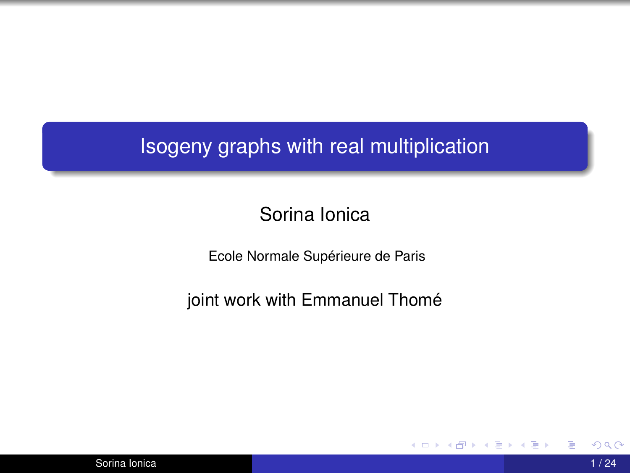### Isogeny graphs with real multiplication

### Sorina Ionica

Ecole Normale Supérieure de Paris

joint work with Emmanuel Thomé

メロトメ部 トメミトメミト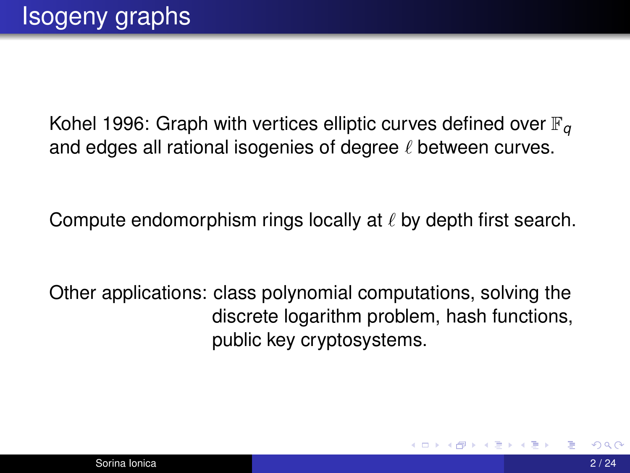Kohel 1996: Graph with vertices elliptic curves defined over  $\mathbb{F}_q$ and edges all rational isogenies of degree  $\ell$  between curves.

Compute endomorphism rings locally at  $\ell$  by depth first search.

Other applications: class polynomial computations, solving the discrete logarithm problem, hash functions, public key cryptosystems.

イロト イ押 トイヨ トイヨ ト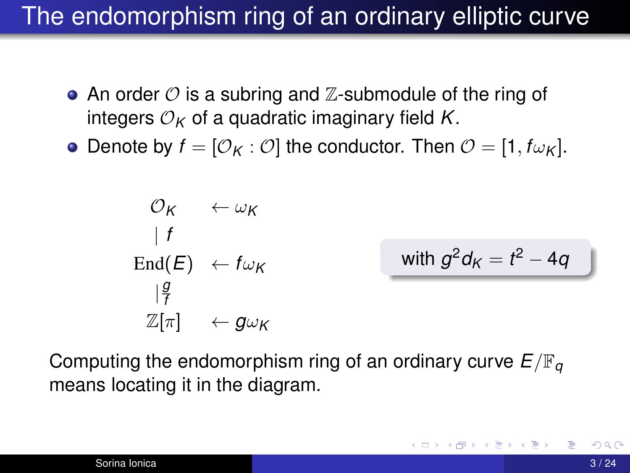## The endomorphism ring of an ordinary elliptic curve

- An order  $\mathcal O$  is a subring and  $\mathbb Z$ -submodule of the ring of integers  $\mathcal{O}_K$  of a quadratic imaginary field K.
- Denote by  $f = [\mathcal{O}_K : \mathcal{O}]$  the conductor. Then  $\mathcal{O} = [1, f_{\mathcal{W}_K}]$ .

$$
\begin{array}{ccc}\n\mathcal{O}_{\mathsf{K}} & \leftarrow \omega_{\mathsf{K}} \\
\mid f & \\
\text{End}(E) & \leftarrow f\omega_{\mathsf{K}} \\
\mid \frac{g}{f} & \\
\mathbb{Z}[\pi] & \leftarrow g\omega_{\mathsf{K}}\n\end{array}\n\quad\n\text{with } g^2d_{\mathsf{K}} = t^2 - 4q
$$

Computing the endomorphism ring of an ordinary curve  $E/\mathbb{F}_q$ means locating it in the diagram.

**K ロ ▶ K 御 ▶ K 君 ▶ K 君 ▶**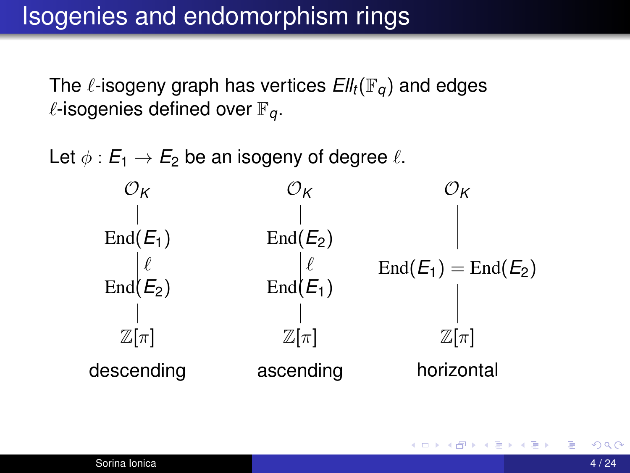## Isogenies and endomorphism rings

The  $\ell$ -isogeny graph has vertices  $Ell_t(\mathbb{F}_q)$  and edges  $\ell$ -isogenies defined over  $\mathbb{F}_q$ .

Let  $\phi : E_1 \to E_2$  be an isogeny of degree  $\ell$ .



4 ロ ト 4 何 ト 4 ヨ ト 4 ヨ ト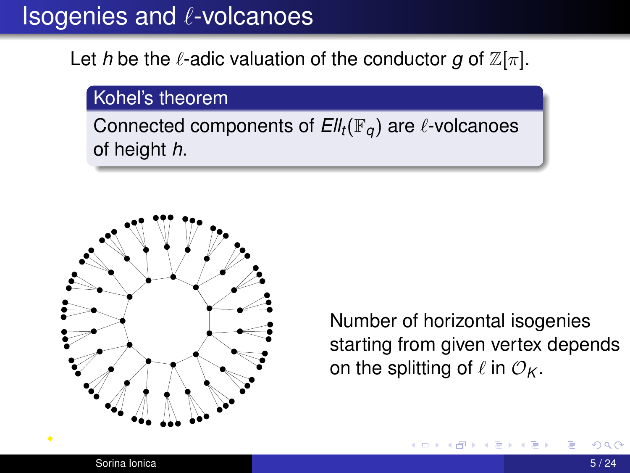## Isogenies and  $\ell$ -volcanoes

### Let *h* be the  $\ell$ -adic valuation of the conductor *g* of  $\mathbb{Z}[\pi]$ .

#### Kohel's theorem

Connected components of  $Ell_t(\mathbb{F}_q)$  are  $\ell$ -volcanoes of height *h*.



Number of horizontal isogenies starting from given vertex depends on the splitting of  $\ell$  in  $\mathcal{O}_K$ .

4 0 8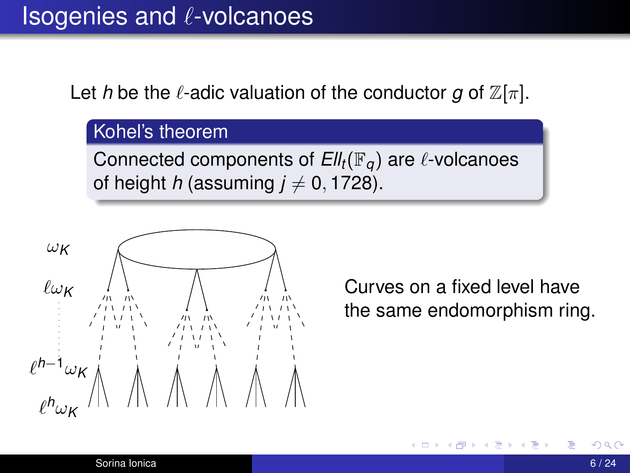Let *h* be the  $\ell$ -adic valuation of the conductor *g* of  $\mathbb{Z}[\pi]$ .

### Kohel's theorem

Connected components of  $Ell_t(\mathbb{F}_q)$  are  $\ell$ -volcanoes of height *h* (assuming  $j \neq 0, 1728$ ).



Curves on a fixed level have the same endomorphism ring.

**← ロ ▶ → ← 同**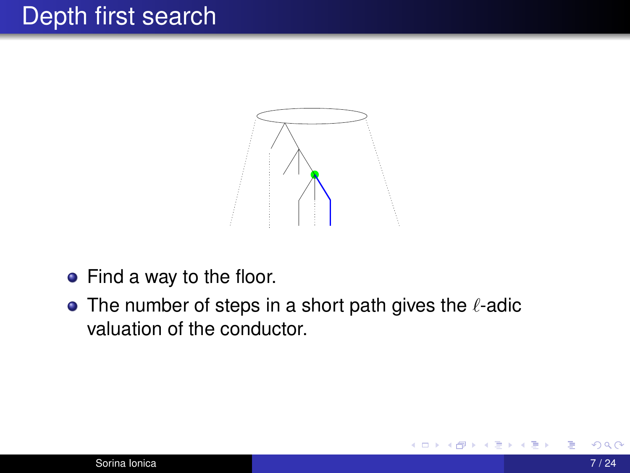## Depth first search



- Find a way to the floor.
- The number of steps in a short path gives the  $\ell$ -adic valuation of the conductor.

**4 ロ > 4 何 >**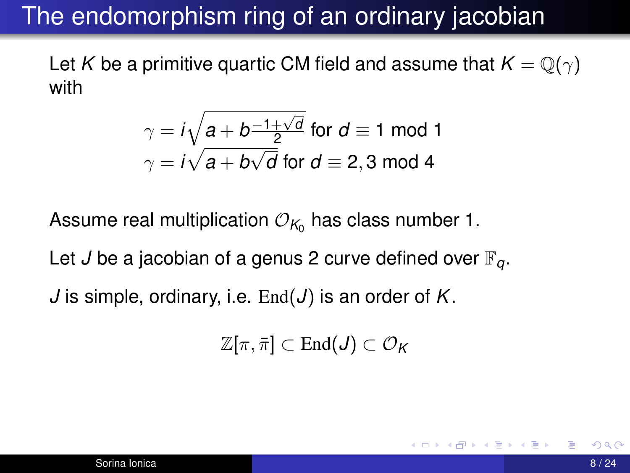## The endomorphism ring of an ordinary jacobian

Let *K* be a primitive quartic CM field and assume that  $K = \mathbb{Q}(\gamma)$ with

$$
\gamma = i\sqrt{a + b\frac{-1 + \sqrt{d}}{2}}
$$
 for  $d \equiv 1$  mod 1  

$$
\gamma = i\sqrt{a + b\sqrt{d}}
$$
 for  $d \equiv 2, 3$  mod 4

Assume real multiplication  $\mathcal{O}_{\mathcal{K}_0}$  has class number 1.

Let *J* be a jacobian of a genus 2 curve defined over  $\mathbb{F}_q$ .

*J* is simple, ordinary, i.e. End(*J*) is an order of *K*.

$$
\mathbb{Z}[\pi,\bar{\pi}]\subset \text{End}(J)\subset \mathcal{O}_K
$$

イロト イ何 ト イヨ ト イヨ ト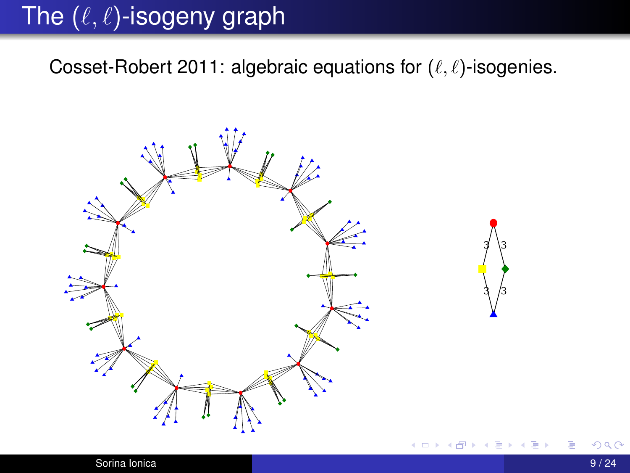# The  $(\ell, \ell)$ -isogeny graph

Cosset-Robert 2011: algebraic equations for  $(\ell, \ell)$ -isogenies.

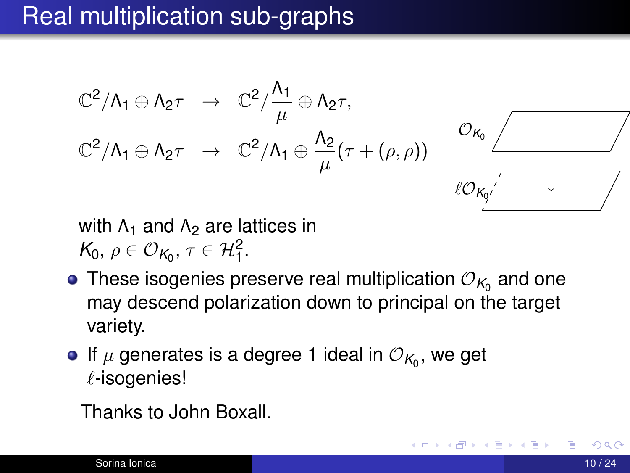## Real multiplication sub-graphs

$$
\mathbb{C}^2/\Lambda_1 \oplus \Lambda_2 \tau \rightarrow \mathbb{C}^2/\frac{\Lambda_1}{\mu} \oplus \Lambda_2 \tau,
$$
  

$$
\mathbb{C}^2/\Lambda_1 \oplus \Lambda_2 \tau \rightarrow \mathbb{C}^2/\Lambda_1 \oplus \frac{\Lambda_2}{\mu} (\tau + (\rho, \rho))
$$



**4 ロ ▶ - 4 何 ▶** 

with  $\Lambda_1$  and  $\Lambda_2$  are lattices in  $K_0, \, \rho \in \mathcal{O}_{K_0}, \, \tau \in \mathcal{H}_1^2.$ 

- These isogenies preserve real multiplication  $\mathcal{O}_{\mathcal{K}_0}$  and one may descend polarization down to principal on the target variety.
- If  $\mu$  generates is a degree 1 ideal in  $\mathcal{O}_{\mathcal{K}_0},$  we get  $\ell$ -isogenies!

Thanks to John Boxall.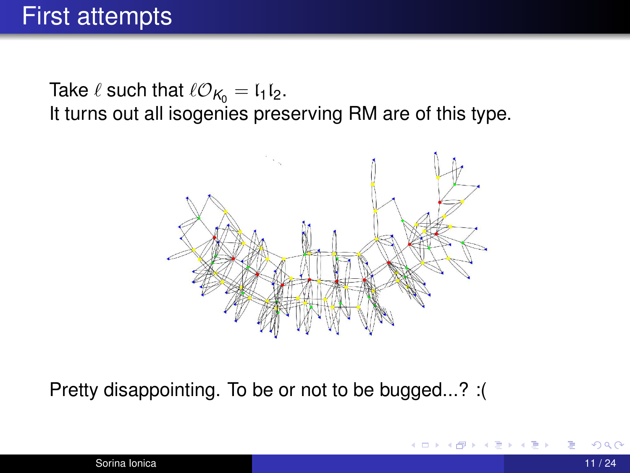Take  $\ell$  such that  $\ell O_{K_0} = I_1 I_2$ . It turns out all isogenies preserving RM are of this type.



Pretty disappointing. To be or not to be bugged...? :(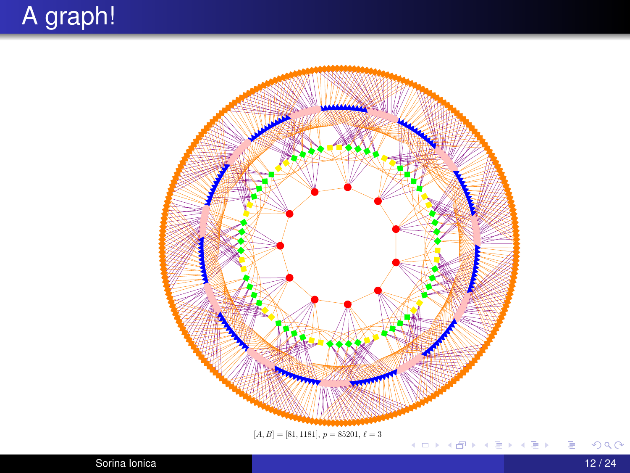# A graph!



重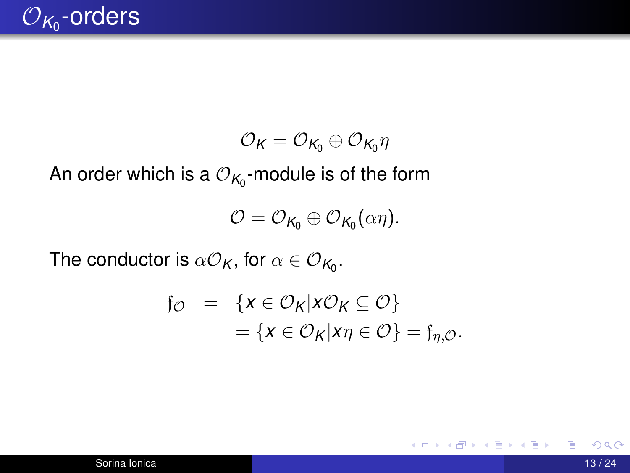

$$
\mathcal{O}_K=\mathcal{O}_{K_0}\oplus \mathcal{O}_{K_0}\eta
$$

An order which is a  $\mathcal{O}_{\mathcal{K}_0}$ -module is of the form

$$
\mathcal{O}=\mathcal{O}_{K_0}\oplus \mathcal{O}_{K_0}(\alpha\eta).
$$

The conductor is  $\alpha\mathcal{O}_\mathcal{K}$ , for  $\alpha\in\mathcal{O}_{\mathcal{K}_0}.$ 

$$
\begin{array}{rcl}\n\mathfrak{f}_{\mathcal{O}} & = & \{x \in \mathcal{O}_{\mathsf{K}} | x \mathcal{O}_{\mathsf{K}} \subseteq \mathcal{O} \} \\
& = & \{x \in \mathcal{O}_{\mathsf{K}} | x \eta \in \mathcal{O} \} = \mathfrak{f}_{\eta, \mathcal{O}}.\n\end{array}
$$

∍

**K ロ ▶ K 御 ▶ K 君 ▶ K 君 ▶**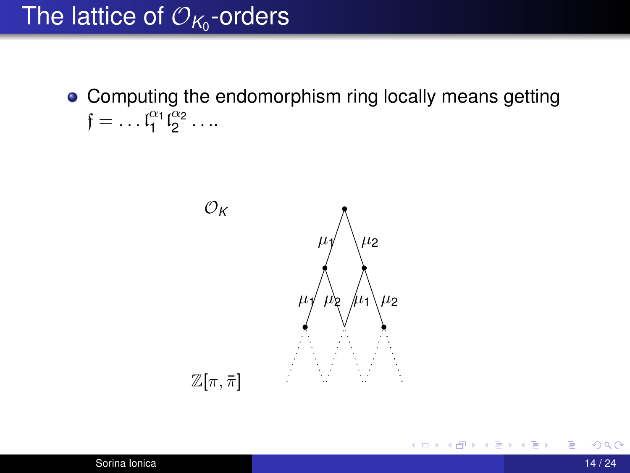# The lattice of  $\mathcal{O}_{\mathcal{K}_0}$ -orders

• Computing the endomorphism ring locally means getting  $f = ... \, l_1^{\alpha_1} l_2^{\alpha_2} ...$ 



メロトメ部 トメミトメミト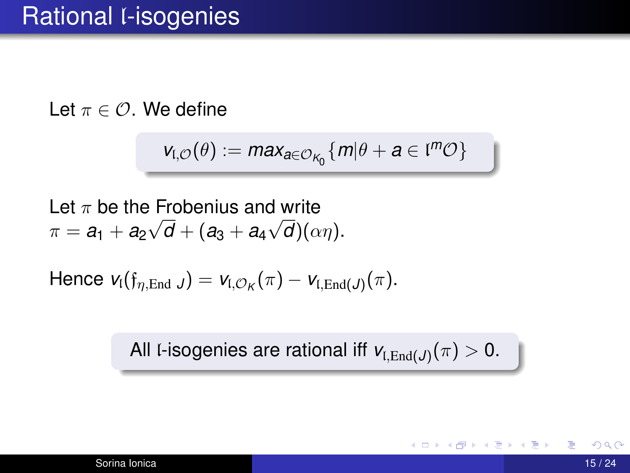Let  $\pi \in \mathcal{O}$ . We define

$$
v_{\mathfrak{l},\mathcal{O}}(\theta):=max_{a\in\mathcal{O}_{K_0}}\{m|\theta+a\in\mathfrak{l}^m\mathcal{O}\}
$$

Let  $\pi$  be the Frobenius and write  $\pi = a_1 + a_2$ √  $d + (a_3 + a_4)$ √  $d)(\alpha\eta)$ .

 $\mathsf{Hence} \; \mathsf{v}_\mathfrak{l}(\mathfrak{f}_{\eta,\mathrm{End}\; J}) = \mathsf{v}_{\mathfrak{l},\mathcal{O}_\mathcal{K}}(\pi) - \mathsf{v}_{\mathfrak{l},\mathrm{End}\mathcal{J}}(\pi).$ 

All l-isogenies are rational iff  $\mathsf{v}_{\mathfrak{l},\mathrm{End}(J)}(\pi)>0.$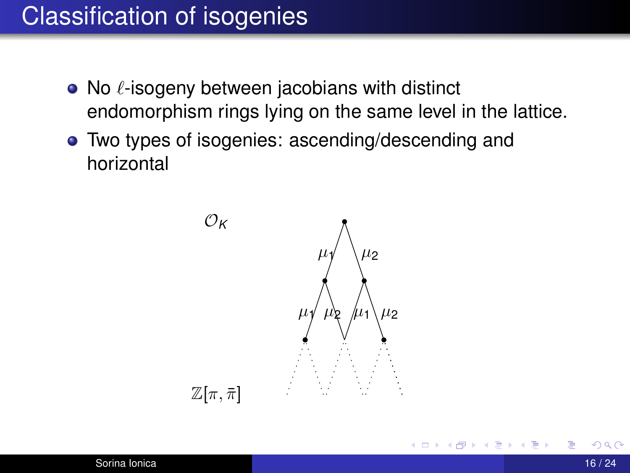## Classification of isogenies

- $\bullet$  No  $\ell$ -isogeny between jacobians with distinct endomorphism rings lying on the same level in the lattice.
- Two types of isogenies: ascending/descending and horizontal



**4 ロ > 4 何 >**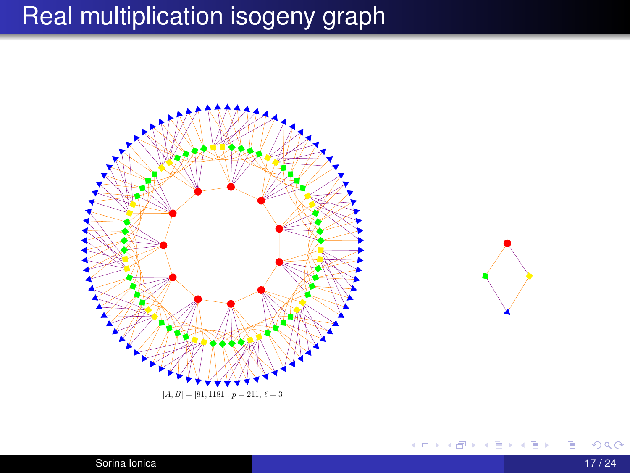## Real multiplication isogeny graph





メロメメ 御 メメ きょく きょう

Sorina Ionica **17/24 17/24** 

ă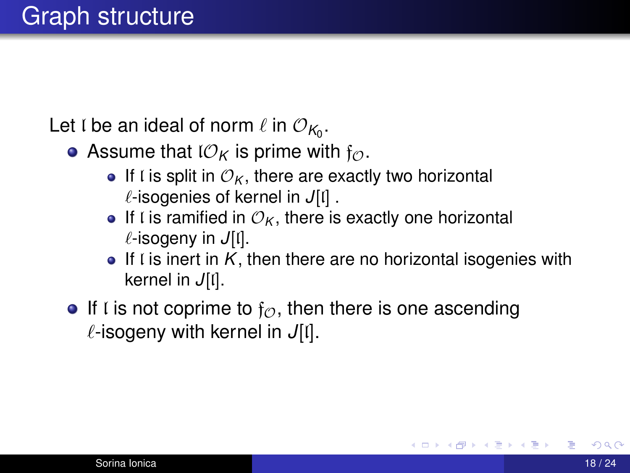Let  ${\mathfrak l}$  be an ideal of norm  $\ell$  in  ${\mathcal O}_{\mathcal K_0}.$ 

- Assume that  $\mathcal{O}_K$  is prime with  $f_{\mathcal{O}}$ .
	- If l is split in  $\mathcal{O}_K$ , there are exactly two horizontal  $\ell$ -isogenies of kernel in *J*[l] .
	- If I is ramified in  $\mathcal{O}_K$ , there is exactly one horizontal `-isogeny in *J*[l].
	- $\bullet$  If I is inert in K, then there are no horizontal isogenies with kernel in *J*[l].
- If l is not coprime to  $f_{\mathcal{O}}$ , then there is one ascending  $\ell$ -isogeny with kernel in *J*[l].

イロト イ母ト イヨト イヨ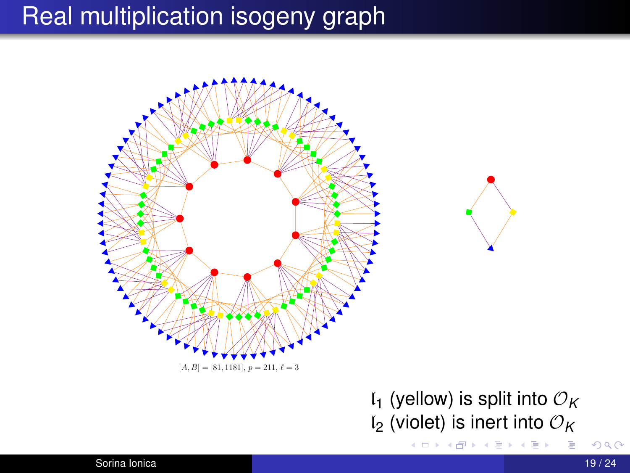## Real multiplication isogeny graph



### $I_1$  (yellow) is split into  $\mathcal{O}_K$  $I_2$  (violet) is inert into  $\mathcal{O}_K$

(ロトメ部トメ君トメ君))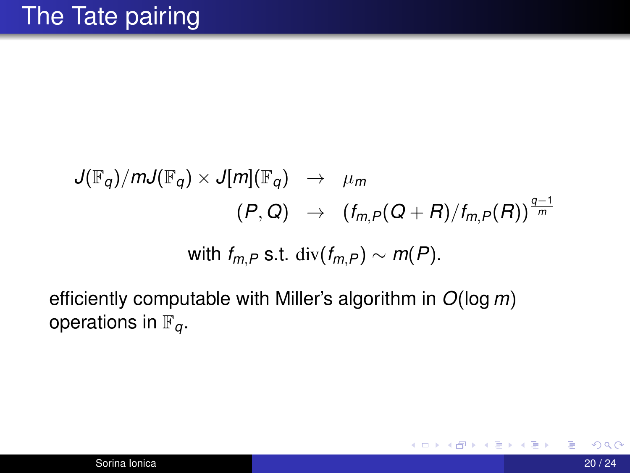$$
J(\mathbb{F}_q)/mJ(\mathbb{F}_q) \times J[m](\mathbb{F}_q) \rightarrow \mu_m
$$
  
\n
$$
(P, Q) \rightarrow (f_{m,P}(Q+R)/f_{m,P}(R))^{\frac{q-1}{m}}
$$
  
\nwith  $f_{m,P}$  s.t.  $\text{div}(f_{m,P}) \sim m(P)$ .

efficiently computable with Miller's algorithm in *O*(log *m*) operations in  $\mathbb{F}_q$ .

メロトメ部 トメミトメミト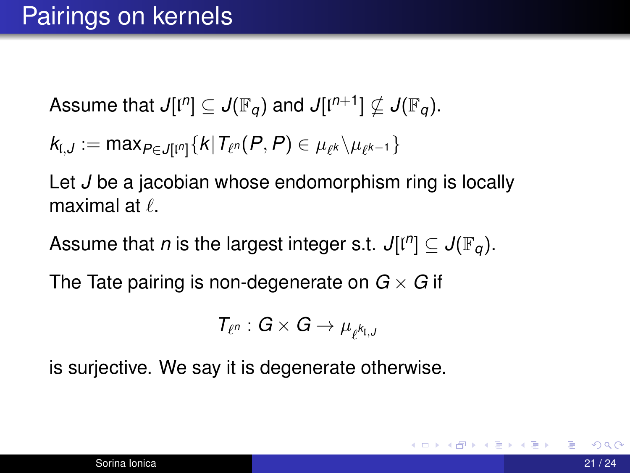Assume that  $J[{\mathfrak l}^n] \subseteq J({\mathbb F}_q)$  and  $J[{\mathfrak l}^{n+1}] \nsubseteq J({\mathbb F}_q).$ 

$$
k_{\mathfrak{l},J}:=\text{max}_{P\in J[\mathfrak{l}^n]}\{k|\mathcal{T}_{\ell^n}(P,P)\in \mu_{\ell^k}\backslash \mu_{\ell^{k-1}}\}
$$

Let *J* be a jacobian whose endomorphism ring is locally maximal at  $\ell$ .

Assume that *n* is the largest integer s.t.  $J[l^n] \subseteq J(\mathbb{F}_q)$ .

The Tate pairing is non-degenerate on  $G \times G$  if

$$
T_{\ell^n}:G\times G\to \mu_{\ell^{k_{\mathfrak{l},J}}}
$$

is surjective. We say it is degenerate otherwise.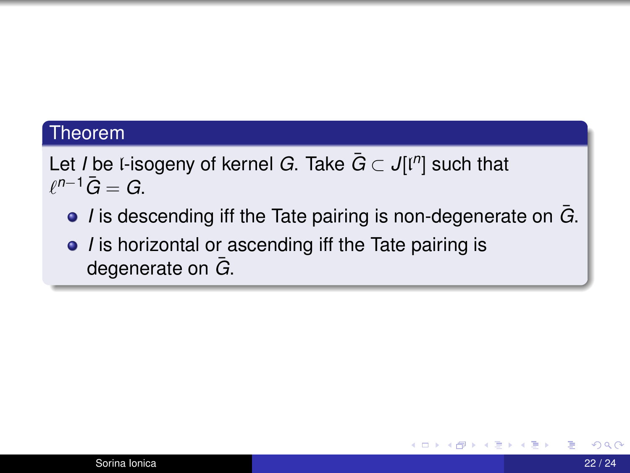#### Theorem

Let *I* be l-isogeny of kernel *G*. Take *G*¯ ⊂ *J*[l *n* ] such that  $\ell^{n-1}\bar{G}=G$ .

- **■** *I* is descending iff the Tate pairing is non-degenerate on  $\overline{G}$ .
- *I* is horizontal or ascending iff the Tate pairing is degenerate on  $\bar{G}$ .

イロト イ何 ト イヨ ト イヨ トー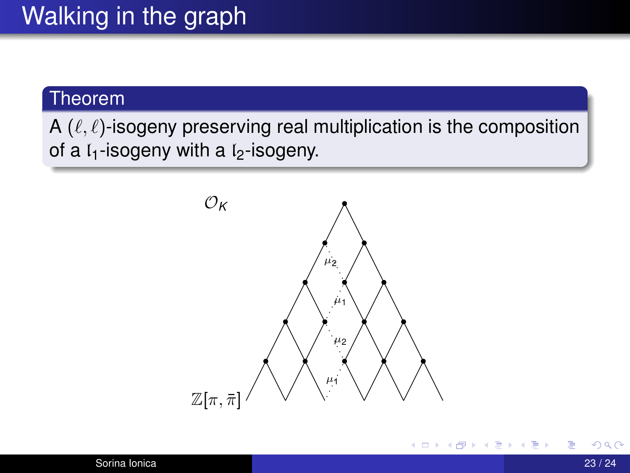#### Theorem

A  $(\ell, \ell)$ -isogeny preserving real multiplication is the composition of a  $l_1$ -isogeny with a  $l_2$ -isogeny.



K ロ ▶ K 御 ▶ K 君 ▶ K 君 ▶ .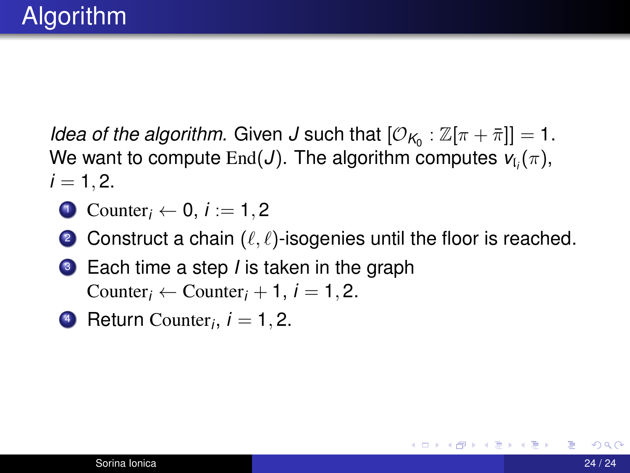*Idea of the algorithm.* Given *J* such that  $[\mathcal{O}_{K_0} : \mathbb{Z}[\pi + \bar{\pi}]] = 1$ . We want to compute  $\text{End}(J)$ . The algorithm computes  $\mathsf{v}_{\mathfrak{l}_i}(\pi),$  $i = 1, 2.$ 

- $\bullet$  Counter<sub>i</sub>  $\leftarrow$  0, *i* := 1, 2
- 2 Construct a chain  $(\ell, \ell)$ -isogenies until the floor is reached.
- <sup>3</sup> Each time a step *I* is taken in the graph Counter<sub>*i*</sub> ← Counter<sub>*i*</sub> + 1, *j* = 1, 2.
- **4** Return Counter<sub>*i*</sub>,  $i = 1, 2$ .

イロト イ母 トイヨ トイヨ トー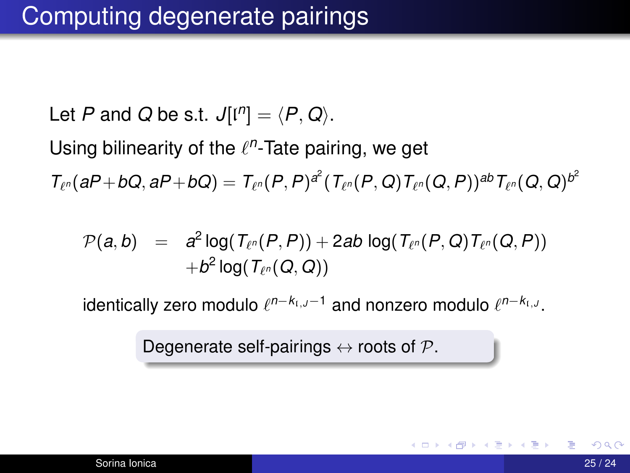Let *P* and *Q* be s.t.  $J[i<sup>n</sup>] = \langle P, Q \rangle$ .

Using bilinearity of the  $\ell^n$ -Tate pairing, we get

 $\mathcal{T}_{\ell^n} (aP+bQ,aP+bQ) = \mathcal{T}_{\ell^n} (P,P)^{\mathscr{E}} (\mathcal{T}_{\ell^n} (P,Q) \mathcal{T}_{\ell^n} (Q,P))^{ab} \mathcal{T}_{\ell^n} (Q,Q)^{b^2}$ 

$$
\begin{array}{lcl} \mathcal{P}(a,b) & = & a^2\log(T_{\ell^n}(P,P)) + 2ab\log(T_{\ell^n}(P,Q)T_{\ell^n}(Q,P)) \\ & & + b^2\log(T_{\ell^n}(Q,Q)) \end{array}
$$

 $i$ dentically zero modulo  $\ell^{n-k_i}$ ,*J*−1 and nonzero modulo  $\ell^{n-k_i}$ ,*J*.

Degenerate self-pairings  $\leftrightarrow$  roots of  $\mathcal{P}$ .

イロト イ押 トイヨ トイヨ トー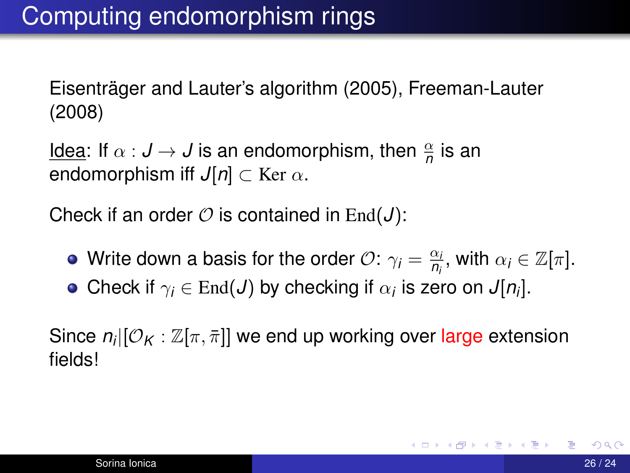Eisenträger and Lauter's algorithm (2005), Freeman-Lauter (2008)

<u>ldea</u>: If  $\alpha : J \to J$  is an endomorphism, then  $\frac{\alpha}{n}$  is an endomorphism iff  $J[n] \subset \text{Ker } \alpha$ .

Check if an order  $\mathcal O$  is contained in End( $J$ ):

- Write down a basis for the order  $\mathcal{O}$ :  $\gamma_i = \frac{\alpha_i}{R_i}$  $\frac{\alpha_i}{n_i}$ , with  $\alpha_i \in \mathbb{Z}[\pi]$ .
- Check if  $\gamma_i \in \text{End}(J)$  by checking if  $\alpha_i$  is zero on  $J[n_i].$

Since  $n_i[[\mathcal{O}_K:\mathbb{Z}[\pi,\bar{\pi}]]$  we end up working over large extension fields!

**K ロ ▶ K 御 ▶ K 君 ▶ K 君 ▶** ...